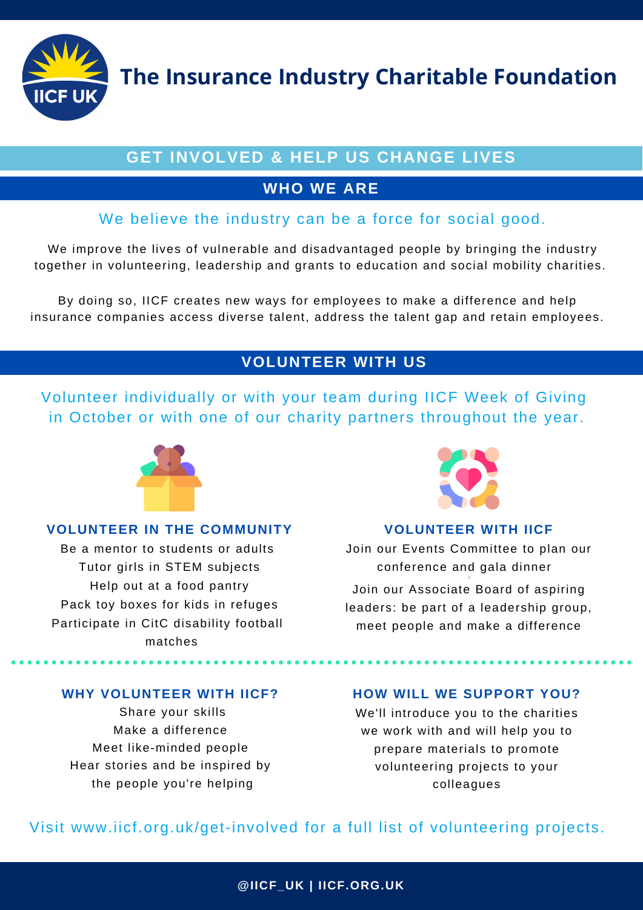**The Insurance Industry Charitable Foundation**

# **GET INVOLVED & HELP US CHANGE LIVES**

# **WHO WE ARE**

# We believe the industry can be a force for social good.

We improve the lives of vulnerable and disadvantaged people by bringing the industry together in volunteering, leadership and grants to education and social mobility charities.

By doing so, IICF creates new ways for employees to make a difference and help insurance companies access diverse talent, address the talent gap and retain employees.

# **VOLUNTEER WITH US**

Volunteer individually or with your team during IICF Week of Giving in October or with one of our charity partners throughout the year.



### **VOLUNTEER IN THE COMMUNITY**

Be a mentor to students or adults Tutor girls in STEM subjects Help out at a food pantry Pack toy boxes for kids in refuges Participate in CitC disability football matches



### **VOLUNTEER WITH IICF**

Join our Events Committee to plan our conference and gala dinner . .

Join our Associate Board of aspiring leaders: be part of a leadership group, meet people and make a difference

# **WHY VOLUNTEER WITH IICF?**

Share your skills Make a difference Meet like-minded people Hear stories and be inspired by the people you're helping

### **HOW WILL WE SUPPORT YOU?**

We'll introduce you to the charities we work with and will help you to prepare materials to promote volunteering projects to your colleagues

# Visit www.iicf.org.uk/get-involved for a full list of volunteering projects.

**@IICF\_UK | IICF.ORG.UK**